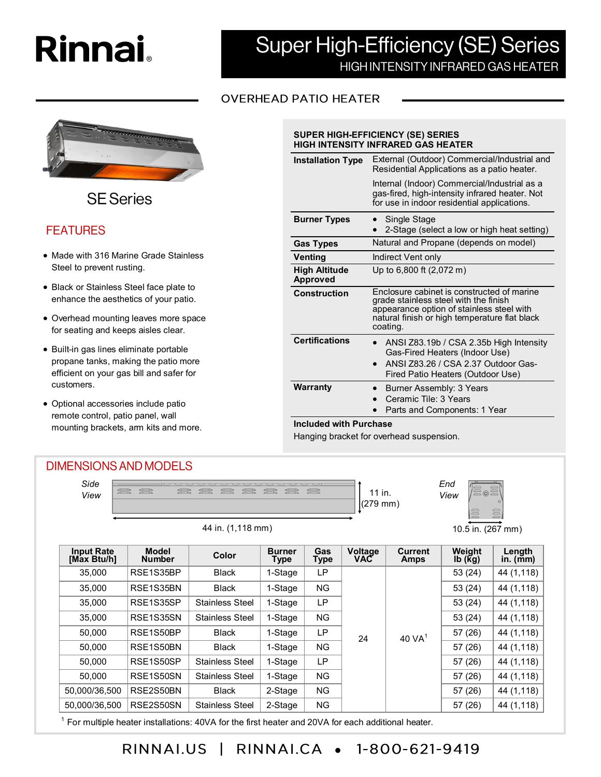# **Rinnai**



**SE Series** 

# **FEATURES**

- Made with 316 Marine Grade Stainless Steel to prevent rusting.
- Black or Stainless Steel face plate to enhance the aesthetics of your patio.
- Overhead mounting leaves more space for seating and keeps aisles clear.
- Built-in gas lines eliminate portable propane tanks, making the patio more efficient on your gas bill and safer for customers.
- Optional accessories include patio remote control, patio panel, wall mounting brackets, arm kits and more.

# **Super High-Efficiency (SE) Series** HIGH INTENSITY INFRARED GAS HEATER

# **OVERHEAD PATIO HEATER**

| <b>SUPER HIGH-EFFICIENCY (SE) SERIES</b><br><b>HIGH INTENSITY INFRARED GAS HEATER</b> |                                                                                                                                                                                               |  |  |  |  |  |
|---------------------------------------------------------------------------------------|-----------------------------------------------------------------------------------------------------------------------------------------------------------------------------------------------|--|--|--|--|--|
| <b>Installation Type</b>                                                              | External (Outdoor) Commercial/Industrial and<br>Residential Applications as a patio heater.                                                                                                   |  |  |  |  |  |
|                                                                                       | Internal (Indoor) Commercial/Industrial as a<br>gas-fired, high-intensity infrared heater. Not<br>for use in indoor residential applications.                                                 |  |  |  |  |  |
| <b>Burner Types</b>                                                                   | Single Stage<br>2-Stage (select a low or high heat setting)                                                                                                                                   |  |  |  |  |  |
| <b>Gas Types</b>                                                                      | Natural and Propane (depends on model)                                                                                                                                                        |  |  |  |  |  |
| Venting                                                                               | Indirect Vent only                                                                                                                                                                            |  |  |  |  |  |
| <b>High Altitude</b><br><b>Approved</b>                                               | Up to 6,800 ft (2,072 m)                                                                                                                                                                      |  |  |  |  |  |
| <b>Construction</b>                                                                   | Enclosure cabinet is constructed of marine<br>grade stainless steel with the finish<br>appearance option of stainless steel with<br>natural finish or high temperature flat black<br>coating. |  |  |  |  |  |
| <b>Certifications</b>                                                                 | ANSI Z83.19b / CSA 2.35b High Intensity<br>Gas-Fired Heaters (Indoor Use)<br>ANSI Z83.26 / CSA 2.37 Outdoor Gas-<br>Fired Patio Heaters (Outdoor Use)                                         |  |  |  |  |  |
| <b>Warranty</b><br>Included with Durchase                                             | Burner Assembly: 3 Years<br>Ceramic Tile: 3 Years<br>Parts and Components: 1 Year                                                                                                             |  |  |  |  |  |

#### **Included with Purchase**

Hanging bracket for overhead suspension.



RINNALCA • 1-800-621-9419 RINNAI.US  $\Box$